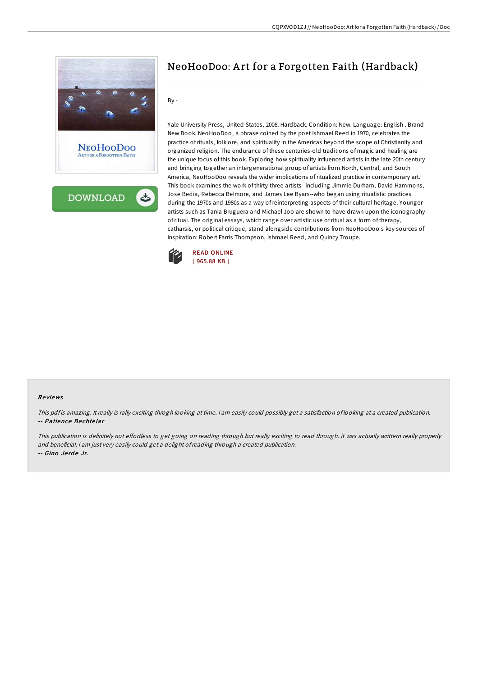

Yale University Press, United States, 2008. Hardback. Condition: New. Language: English . Brand New Book. NeoHooDoo, a phrase coined by the poet Ishmael Reed in 1970, celebrates the practice ofrituals, folklore, and spirituality in the Americas beyond the scope of Christianity and organized religion. The endurance of these centuries-old traditions of magic and healing are the unique focus of this book. Exploring how spirituality influenced artists in the late 20th century and bringing together an intergenerational group of artists from North, Central, and South America, NeoHooDoo reveals the wider implications ofritualized practice in contemporary art. This book examines the work of thirty-three artists--including Jimmie Durham, David Hammons, Jose Bedia, Rebecca Belmore, and James Lee Byars--who began using ritualistic practices during the 1970s and 1980s as a way ofreinterpreting aspects of their cultural heritage. Younger artists such as Tania Bruguera and Michael Joo are shown to have drawn upon the iconography ofritual. The original essays, which range over artistic use ofritual as a form of therapy, catharsis, or political critique, stand alongside contributions from NeoHooDoo s key sources of

inspiration: Robert Farris Thompson, Ishmael Reed, and Quincy Troupe.

NeoHooDoo: A rt for a Forgotten Faith (Hardback)



By -

#### Re views

This pdf is amazing. It really is rally exciting throgh looking at time. I am easily could possibly get a satisfaction of looking at a created publication. -- Patience Be chte lar

This publication is definitely not effortless to get going on reading through but really exciting to read through. it was actually writtern really properly and beneficial. <sup>I</sup> am just very easily could get <sup>a</sup> delight ofreading through <sup>a</sup> created publication. -- Gino Jerde Jr.